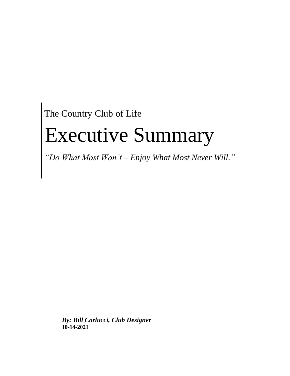The Country Club of Life

# Executive Summary

*"Do What Most Won't – Enjoy What Most Never Will."*

*By: Bill Carlucci, Club Designer* **10-14-2021**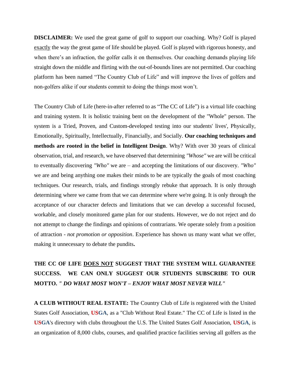**DISCLAIMER:** We used the great game of golf to support our coaching. Why? Golf is played exactly the way the great game of life should be played. Golf is played with rigorous honesty, and when there's an infraction, the golfer calls it on themselves. Our coaching demands playing life straight down the middle and flirting with the out-of-bounds lines are not permitted. Our coaching platform has been named "The Country Club of Life" and will improve the lives of golfers and non-golfers alike if our students commit to doing the things most won't.

The Country Club of Life (here-in-after referred to as "The CC of Life") is a virtual life coaching and training system. It is holistic training bent on the development of the "Whole" person. The system is a Tried, Proven, and Custom-developed testing into our students' lives', Physically, Emotionally, Spiritually, Intellectually, Financially, and Socially. **Our coaching techniques and methods are rooted in the belief in Intelligent Design**. Why? With over 30 years of clinical observation, trial, and research, we have observed that determining *"Whose"* we are will be critical to eventually discovering *"Who"* we are – and accepting the limitations of our discovery. *"Who"* we are and being anything one makes their minds to be are typically the goals of most coaching techniques. Our research, trials, and findings strongly rebuke that approach. It is only through determining where we came from that we can determine where we're going. It is only through the acceptance of our character defects and limitations that we can develop a successful focused, workable, and closely monitored game plan for our students. However, we do not reject and do not attempt to change the findings and opinions of contrarians. We operate solely from a position of attraction - *not promotion or opposition*. Experience has shown us many want what we offer, making it unnecessary to debate the pundits**.**

# **THE CC OF LIFE DOES NOT SUGGEST THAT THE SYSTEM WILL GUARANTEE SUCCESS. WE CAN ONLY SUGGEST OUR STUDENTS SUBSCRIBE TO OUR MOTTO.** *" DO WHAT MOST WON'T – ENJOY WHAT MOST NEVER WILL"*

**A CLUB WITHOUT REAL ESTATE:** The Country Club of Life is registered with the United States Golf Association, **USGA**, as a "Club Without Real Estate." The CC of Life is listed in the **USGA**'s directory with clubs throughout the U.S. The United States Golf Association, **USGA**, is an organization of 8,000 clubs, courses, and qualified practice facilities serving all golfers as the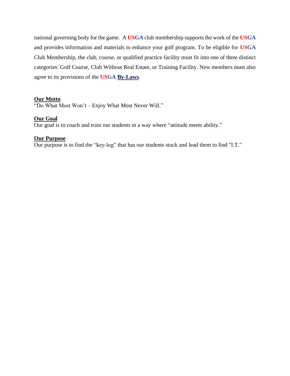national governing body for the game. A **USGA** club membership supports the work of the **USGA** and provides information and materials to enhance your golf program. To be eligible for **USGA** Club Membership, the club, course, or qualified practice facility must fit into one of three distinct categories: Golf Course, Club Without Real Estate, or Training Facility. New members must also agree to its provisions of the **USGA [By-Laws](http://www.usga.org/content/usga/home-page/member-clubs/club-membership-by-laws.html)**.

#### **Our Motto**

"Do What Most Won't – Enjoy What Most Never Will."

#### **Our Goal**

Our goal is to coach and train our students in a way where "attitude meets ability."

#### **Our Purpose**

Our purpose is to find the "key-log" that has our students stuck and lead them to find "I.T."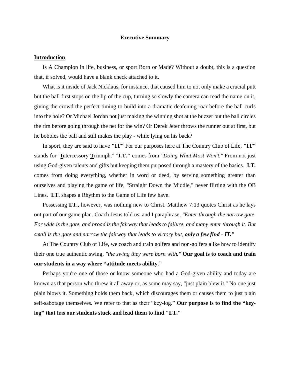#### **Executive Summary**

#### **Introduction**

Is A Champion in life, business, or sport Born or Made? Without a doubt, this is a question that, if solved, would have a blank check attached to it.

What is it inside of Jack Nicklaus, for instance, that caused him to not only make a crucial putt but the ball first stops on the lip of the cup, turning so slowly the camera can read the name on it, giving the crowd the perfect timing to build into a dramatic deafening roar before the ball curls into the hole? Or Michael Jordan not just making the winning shot at the buzzer but the ball circles the rim before going through the net for the win? Or Derek Jeter throws the runner out at first, but he bobbles the ball and still makes the play - while lying on his back?

In sport, they are said to have **"IT"** For our purposes here at The Country Club of Life, **"IT"** stands for "**I**ntercessory **T**riumph." "**I.T."** comes from *"Doing What Most Won't."* From not just using God-given talents and gifts but keeping them purposed through a mastery of the basics. **I.T.**  comes from doing everything, whether in word or deed, by serving something greater than ourselves and playing the game of life, "Straight Down the Middle," never flirting with the OB Lines. **I.T.** shapes a Rhythm to the Game of Life few have.

Possessing **I.T.,** however, was nothing new to Christ. Matthew 7:13 quotes Christ as he lays out part of our game plan. Coach Jesus told us, and I paraphrase, *"Enter through the narrow gate. For wide is the gate, and broad is the fairway that leads to failure, and many enter through it. But small is the gate and narrow the fairway that leads to victory but, only a few find - IT."*

At The Country Club of Life, we coach and train golfers and non-golfers alike how to identify their one true authentic swing, *"the swing they were born with."* **Our goal is to coach and train our students in a way where "attitude meets ability**."

Perhaps you're one of those or know someone who had a God-given ability and today are known as that person who threw it all away or, as some may say, "just plain blew it." No one just plain blows it. Something holds them back, which discourages them or causes them to just plain self-sabotage themselves. We refer to that as their "key-log." **Our purpose is to find the "keylog" that has our students stuck and lead them to find "I.T."**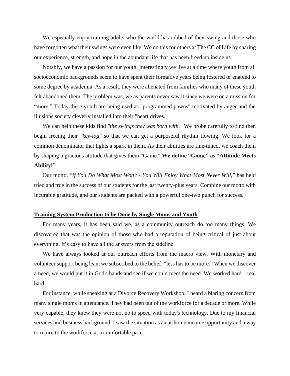We especially enjoy training adults who the world has robbed of their swing and those who have forgotten what their swings were even like. We do this for others at The CC of Life by sharing our experience, strength, and hope in the abundant life that has been freed up inside us.

Notably, we have a passion for our youth. Interestingly we live at a time where youth from all socioeconomic backgrounds seem to have spent their formative years being fostered or enabled to some degree by academia. As a result, they were alienated from families who many of these youth felt abandoned them. The problem was, we as parents never saw it since we were on a mission for "more." Today these youth are being used as "programmed pawns" motivated by anger and the illusions society cleverly installed into their "heart drives."

We can help these kids find *"the swings they was born with."* We probe carefully to find then begin freeing their *"key-log"* so that we can get a purposeful rhythm flowing. We look for a common denominator that lights a spark in them. As their abilities are fine-tuned, we coach them by shaping a gracious attitude that gives them "Game." **We define "Game" as "Attitude Meets Ability!"**

Our motto, *"If You Do What Most Won't - You Will Enjoy What Most Never Will,"* has held tried and true in the success of our students for the last twenty-plus years. Combine our motto with incurable gratitude, and our students are packed with a powerful one-two punch for success.

#### **Training System Production to be Done by Single Moms and Youth**

For many years, it has been said we, as a community outreach do too many things. We discovered that was the opinion of those who had a reputation of being critical of just about everything. It's easy to have all the answers from the sideline.

We have always looked at our outreach efforts from the macro view. With monetary and volunteer support being lean, we subscribed to the belief, "less has to be more." When we discover a need, we would put it in God's hands and see if we could meet the need. We worked hard – real hard.

For instance, while speaking at a Divorce Recovery Workshop, I heard a blaring concern from many single moms in attendance. They had been out of the workforce for a decade or more. While very capable, they knew they were not up to speed with today's technology. Due to my financial services and business background, I saw the situation as an at-home income opportunity and a way to return to the workforce at a comfortable pace.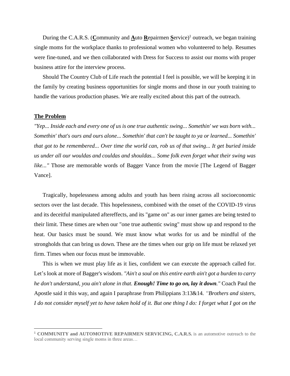During the C.A.R.S. (Community and **A**uto Repairmen Service)<sup>1</sup> outreach, we began training single moms for the workplace thanks to professional women who volunteered to help. Resumes were fine-tuned, and we then collaborated with Dress for Success to assist our moms with proper business attire for the interview process.

Should The Country Club of Life reach the potential I feel is possible, we will be keeping it in the family by creating business opportunities for single moms and those in our youth training to handle the various production phases. We are really excited about this part of the outreach.

#### **The Problem**

*"Yep... Inside each and every one of us is one true authentic swing... Somethin' we was born with... Somethin' that's ours and ours alone... Somethin' that can't be taught to ya or learned... Somethin' that got to be remembered... Over time the world can, rob us of that swing... It get buried inside us under all our wouldas and couldas and shouldas... Some folk even forget what their swing was like..."* Those are memorable words of Bagger Vance from the movie [The Legend of Bagger Vance].

Tragically, hopelessness among adults and youth has been rising across all socioeconomic sectors over the last decade. This hopelessness, combined with the onset of the COVID-19 virus and its deceitful manipulated aftereffects, and its "game on" as our inner games are being tested to their limit. These times are when our "one true authentic swing" must show up and respond to the heat. Our basics must be sound. We must know what works for us and be mindful of the strongholds that can bring us down. These are the times when our grip on life must be relaxed yet firm. Times when our focus must be immovable.

This is when we must play life as it lies, confident we can execute the approach called for. Let's look at more of Bagger's wisdom. *"Ain't a soul on this entire earth ain't got a burden to carry he don't understand, you ain't alone in that. Enough! Time to go on, lay it down."* Coach Paul the Apostle said it this way, and again I paraphrase from Philippians 3:13&14*. "Brothers and sisters, I do not consider myself yet to have taken hold of it. But one thing I do: I forget what I got on the* 

<sup>1</sup> **COMMUNITY and AUTOMOTIVE REPAIRMEN SERVICING, C.A.R.S.** is an automotive outreach to the local community serving single moms in three areas…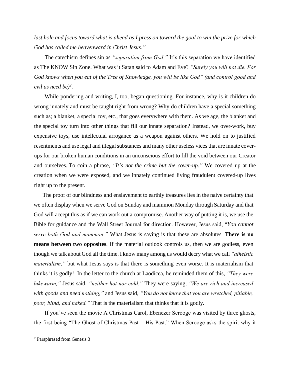*last hole and focus toward what is ahead as I press on toward the goal to win the prize for which God has called me heavenward in Christ Jesus."*

The catechism defines sin as *"separation from God."* It's this separation we have identified as The KNOW Sin Zone. What was it Satan said to Adam and Eve? *"Surely you will not die. For God knows when you eat of the Tree of Knowledge, you will be like God" (and control good and evil as need be)<sup>2</sup>* .

While pondering and writing, I, too, began questioning. For instance, why is it children do wrong innately and must be taught right from wrong? Why do children have a special something such as; a blanket, a special toy, etc., that goes everywhere with them. As we age, the blanket and the special toy turn into other things that fill our innate separation? Instead, we over-work, buy expensive toys, use intellectual arrogance as a weapon against others. We hold on to justified resentments and use legal and illegal substances and many other useless vices that are innate coverups for our broken human conditions in an unconscious effort to fill the void between our Creator and ourselves. To coin a phrase, *"It's not the crime but the cover-up."* We covered up at the creation when we were exposed, and we innately continued living fraudulent covered-up lives right up to the present.

The proof of our blindness and enslavement to earthly treasures lies in the naive certainty that we often display when we serve God on Sunday and mammon Monday through Saturday and that God will accept this as if we can work out a compromise. Another way of putting it is, we use the Bible for guidance and the Wall Street Journal for direction. However, Jesus said, "*You cannot serve both God and mammon."* What Jesus is saying is that these are absolutes. **There is no means between two opposites**. If the material outlook controls us, then we are godless, even though we talk about God all the time. I know many among us would decry what we call *"atheistic materialism,"* but what Jesus says is that there is something even worse. It is materialism that thinks it is godly! In the letter to the church at Laodicea, he reminded them of this, *"They were lukewarm,"* Jesus said, *"neither hot nor cold."* They were saying, *"We are rich and increased with goods and need nothing,"* and Jesus said, *"You do not know that you are wretched, pitiable, poor, blind, and naked."* That is the materialism that thinks that it is godly.

If you've seen the movie A Christmas Carol, Ebenezer Scrooge was visited by three ghosts, the first being "The Ghost of Christmas Past – His Past." When Scrooge asks the spirit why it

<sup>2</sup> Paraphrased from Genesis 3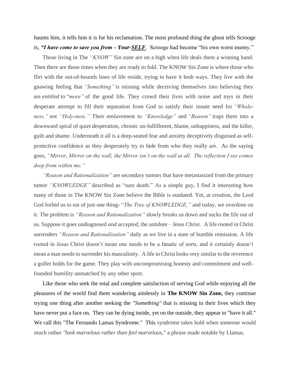haunts him, it tells him it is for his reclamation. The most profound thing the ghost tells Scrooge is, *"I have come to save you from – Your-SELF*. Scrooge had become "his own worst enemy."

Those living in The *"KNOW"* Sin zone are on a high when life deals them a winning hand. Then there are those times when they are ready to fold. The KNOW Sin Zone is where those who flirt with the out-of-bounds lines of life reside, trying to have it both ways. They live with the gnawing feeling that *"Something"* is missing while deceiving themselves into believing they are *entitled* to "*more"* of the good life. They crowd their lives with noise and toys in their desperate attempt to fill their separation from God to satisfy their innate need for *"Wholeness,"* not *"Holy-ness."* Their enslavement to *"Knowledge"* and *"Reason"* traps them into a downward spiral of quiet desperation, chronic un-fulfillment, blame, unhappiness, and the killer, guilt and shame. Underneath it all is a deep-seated fear and anxiety deceptively disguised as selfprotective confidence as they desperately try to hide from who they really are. As the saying goes, *"Mirror, Mirror on the wall, the Mirror isn't on the wall at all. The reflection I see comes deep from within me."*

*"Reason and Rationalization"* are secondary tumors that have metastasized from the primary tumor *"KNOWLEDGE"* described as "sure death." As a simple guy, I find it interesting how many of those in The KNOW Sin Zone believe the Bible is outdated. Yet, at creation, the Lord God forbid us to eat of just one thing- "*The Tree of KNOWLEDGE,"* and today, we overdose on it. The problem is *"Reason and Rationalization"* slowly breaks us down and sucks the life out of us. Suppose it goes undiagnosed *and accepted,* the antidote – Jesus Christ. A life rooted in Christ surrenders *"Reason and Rationalization"* daily as we live in a state of humble remission. A life rooted in Jesus Christ doesn't mean one needs to be a fanatic of sorts, and it certainly doesn't mean a man needs to surrender his masculinity. A life in Christ looks very similar to the reverence a golfer holds for the game. They play with uncompromising honesty and commitment and wellfounded humility unmatched by any other sport.

Like those who seek the total and complete satisfaction of serving God while enjoying all the pleasures of the world find them wandering aimlessly in **The KNOW Sin Zone,** they continue trying one thing after another seeking the *"Something"* that is missing in their lives which they have never put a face on. They can be dying inside, yet on the outside, they appear to "have it all." We call this "The Fernando Lamas Syndrome." This syndrome takes hold when someone would much rather *"look marvelous rather than feel marvelous,"* a phrase made notable by Llamas.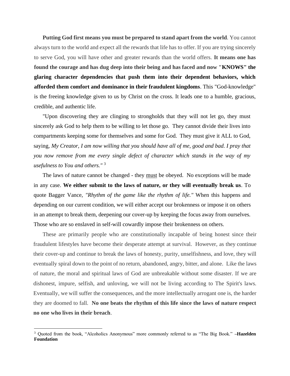**Putting God first means you must be prepared to stand apart from the world**. You cannot always turn to the world and expect all the rewards that life has to offer. If you are trying sincerely to serve God, you will have other and greater rewards than the world offers. **It means one has found the courage and has dug deep into their being and has faced and now "KNOWS" the glaring character dependencies that push them into their dependent behaviors, which afforded them comfort and dominance in their fraudulent kingdoms**. This "God-knowledge" is the freeing knowledge given to us by Christ on the cross. It leads one to a humble, gracious, credible, and authentic life.

"Upon discovering they are clinging to strongholds that they will not let go, they must sincerely ask God to help them to be willing to let those go. They cannot divide their lives into compartments keeping some for themselves and some for God. They must give it ALL to God, saying*, My Creator, I am now willing that you should have all of me, good and bad. I pray that you now remove from me every single defect of character which stands in the way of my usefulness to You and others."* <sup>3</sup>

The laws of nature cannot be changed - they must be obeyed. No exceptions will be made in any case. **We either submit to the laws of nature, or they will eventually break us**. To quote Bagger Vance, *"Rhythm of the game like the rhythm of life."* When this happens and depending on our current condition, we will either accept our brokenness or impose it on others in an attempt to break them, deepening our cover-up by keeping the focus away from ourselves. Those who are so enslaved in self-will cowardly impose their brokenness on others.

These are primarily people who are constitutionally incapable of being honest since their fraudulent lifestyles have become their desperate attempt at survival. However, as they continue their cover-up and continue to break the laws of honesty, purity, unselfishness, and love, they will eventually spiral down to the point of no return, abandoned, angry, bitter, and alone. Like the laws of nature, the moral and spiritual laws of God are unbreakable without some disaster. If we are dishonest, impure, selfish, and unloving, we will not be living according to The Spirit's laws. Eventually, we will suffer the consequences, and the more intellectually arrogant one is, the harder they are doomed to fall. **No one beats the rhythm of this life since the laws of nature respect no one who lives in their breach**.

<sup>3</sup> Quoted from the book, "Alcoholics Anonymous" more commonly referred to as "The Big Book." **–Hazelden Foundation**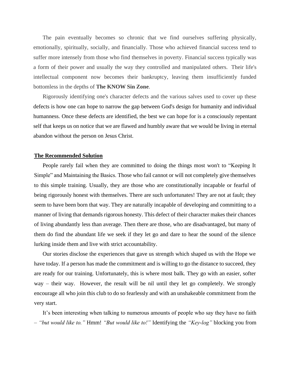The pain eventually becomes so chronic that we find ourselves suffering physically, emotionally, spiritually, socially, and financially. Those who achieved financial success tend to suffer more intensely from those who find themselves in poverty. Financial success typically was a form of their power and usually the way they controlled and manipulated others. Their life's intellectual component now becomes their bankruptcy, leaving them insufficiently funded bottomless in the depths of **The KNOW Sin Zone**.

Rigorously identifying one's character defects and the various salves used to cover up these defects is how one can hope to narrow the gap between God's design for humanity and individual humanness. Once these defects are identified, the best we can hope for is a consciously repentant self that keeps us on notice that we are flawed and humbly aware that we would be living in eternal abandon without the person on Jesus Christ.

#### **The Recommended Solution**

People rarely fail when they are committed to doing the things most won't to "Keeping It Simple" and Maintaining the Basics. Those who fail cannot or will not completely give themselves to this simple training. Usually, they are those who are constitutionally incapable or fearful of being rigorously honest with themselves. There are such unfortunates! They are not at fault; they seem to have been born that way. They are naturally incapable of developing and committing to a manner of living that demands rigorous honesty. This defect of their character makes their chances of living abundantly less than average. Then there are those, who are disadvantaged, but many of them do find the abundant life we seek if they let go and dare to hear the sound of the silence lurking inside them and live with strict accountability.

Our stories disclose the experiences that gave us strength which shaped us with the Hope we have today. If a person has made the commitment and is willing to go the distance to succeed, they are ready for our training. Unfortunately, this is where most balk. They go with an easier, softer way – their way. However, the result will be nil until they let go completely. We strongly encourage all who join this club to do so fearlessly and with an unshakeable commitment from the very start.

It's been interesting when talking to numerous amounts of people who say they have no faith *– "but would like to."* Hmm! *"But would like to!"* Identifying the *"Key-log"* blocking you from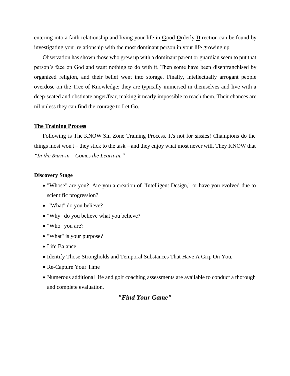entering into a faith relationship and living your life in **G**ood **O**rderly **D**irection can be found by investigating your relationship with the most dominant person in your life growing up

Observation has shown those who grew up with a dominant parent or guardian seem to put that person's face on God and want nothing to do with it. Then some have been disenfranchised by organized religion, and their belief went into storage. Finally, intellectually arrogant people overdose on the Tree of Knowledge; they are typically immersed in themselves and live with a deep-seated and obstinate anger/fear, making it nearly impossible to reach them. Their chances are nil unless they can find the courage to Let Go.

#### **The Training Process**

Following is The KNOW Sin Zone Training Process. It's not for sissies! Champions do the things most won't – they stick to the task – and they enjoy what most never will. They KNOW that *"In the Burn-in – Comes the Learn-in."*

#### **Discovery Stage**

- "Whose" are you? Are you a creation of "Intelligent Design," or have you evolved due to scientific progression?
- "What" do you believe?
- "Why" do you believe what you believe?
- "Who" you are?
- "What" is your purpose?
- Life Balance
- Identify Those Strongholds and Temporal Substances That Have A Grip On You.
- Re-Capture Your Time
- Numerous additional life and golf coaching assessments are available to conduct a thorough and complete evaluation.

### *"Find Your Game"*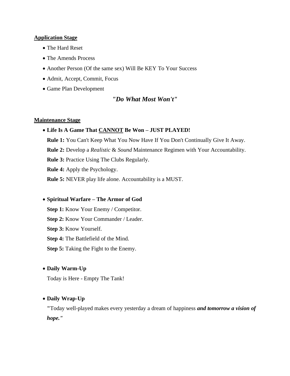#### **Application Stage**

- The Hard Reset
- The Amends Process
- Another Person (Of the same sex) Will Be KEY To Your Success
- Admit, Accept, Commit, Focus
- Game Plan Development

#### *"Do What Most Won't"*

#### **Maintenance Stage**

#### • **Life Is A Game That CANNOT Be Won – JUST PLAYED!**

**Rule 1:** You Can't Keep What You Now Have If You Don't Continually Give It Away. **Rule 2:** Develop a *Realistic* & *Sound* Maintenance Regimen with Your Accountability. **Rule 3:** Practice Using The Clubs Regularly. **Rule 4:** Apply the Psychology. **Rule 5:** NEVER play life alone. Accountability is a MUST.

#### • **Spiritual Warfare – The Armor of God**

**Step 1:** Know Your Enemy / Competitor. **Step 2:** Know Your Commander / Leader. **Step 3:** Know Yourself. **Step 4:** The Battlefield of the Mind. **Step 5:** Taking the Fight to the Enemy.

#### • **Daily Warm-Up**

Today is Here - Empty The Tank!

#### • **Daily Wrap-Up**

**"**Today well-played makes every yesterday a dream of happiness *and tomorrow a vision of hope."*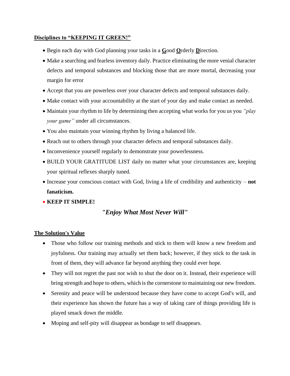#### **Disciplines to "KEEPING IT GREEN!"**

- Begin each day with God planning your tasks in a **G**ood **O**rderly **D**irection.
- Make a searching and fearless inventory daily. Practice eliminating the more venial character defects and temporal substances and blocking those that are more mortal, decreasing your margin for error
- Accept that you are powerless over your character defects and temporal substances daily.
- Make contact with your accountability at the start of your day and make contact as needed.
- Maintain your rhythm to life by determining then accepting what works for you us you *"play your game"* under all circumstances.
- You also maintain your winning rhythm by living a balanced life.
- Reach out to others through your character defects and temporal substances daily.
- Inconvenience yourself regularly to demonstrate your powerlessness.
- BUILD YOUR GRATITUDE LIST daily no matter what your circumstances are, keeping your spiritual reflexes sharply tuned.
- Increase your conscious contact with God, living a life of credibility and authenticity **not fanaticism.**
- **KEEP IT SIMPLE!**

# *"Enjoy What Most Never Will"*

#### **The Solution's Value**

- Those who follow our training methods and stick to them will know a new freedom and joyfulness. Our training may actually set them back; however, if they stick to the task in front of them, they will advance far beyond anything they could ever hope.
- They will not regret the past nor wish to shut the door on it. Instead, their experience will bring strength and hope to others, which is the cornerstone to maintaining our new freedom.
- Serenity and peace will be understood because they have come to accept God's will, and their experience has shown the future has a way of taking care of things providing life is played smack down the middle.
- Moping and self-pity will disappear as bondage to self disappears.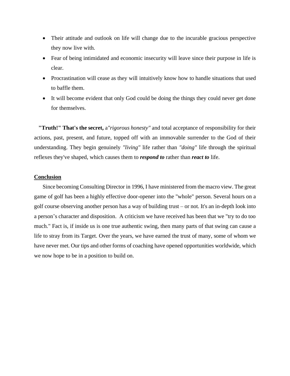- Their attitude and outlook on life will change due to the incurable gracious perspective they now live with.
- Fear of being intimidated and economic insecurity will leave since their purpose in life is clear.
- Procrastination will cease as they will intuitively know how to handle situations that used to baffle them.
- It will become evident that only God could be doing the things they could never get done for themselves.

**"Truth!" That's the secret,** a*"rigorous honesty"* and total acceptance of responsibility for their actions, past, present, and future, topped off with an immovable surrender to the God of their understanding. They begin genuinely *"living"* life rather than *"doing"* life through the spiritual reflexes they've shaped, which causes them to *respond to* rather than *react to* life.

#### **Conclusion**

Since becoming Consulting Director in 1996, I have ministered from the macro view. The great game of golf has been a highly effective door-opener into the "whole" person. Several hours on a golf course observing another person has a way of building trust – or not. It's an in-depth look into a person's character and disposition. A criticism we have received has been that we "try to do too much." Fact is, if inside us is one true authentic swing, then many parts of that swing can cause a life to stray from its Target. Over the years, we have earned the trust of many, some of whom we have never met. Our tips and other forms of coaching have opened opportunities worldwide, which we now hope to be in a position to build on.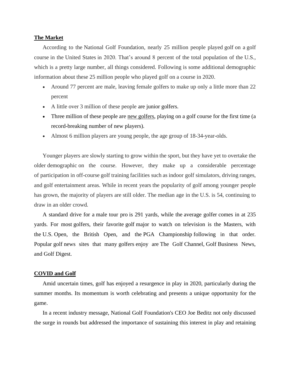#### **The Market**

According to the National Golf Foundation, nearly 25 million people played golf on a golf course in the United States in 2020. That's around 8 percent of the total population of the U.S., which is a pretty large number, all things considered. Following is some additional demographic information about these 25 million people who played golf on a course in 2020.

- Around 77 percent are male, leaving female golfers to make up only a little more than 22 percent
- A little over 3 million of these people are junior golfers.
- Three million of these people are new golfers, playing on a golf course for the first time (a record-breaking number of new players).
- Almost 6 million players are young people, the age group of 18-34-year-olds.

Younger players are slowly starting to grow within the sport, but they have yet to overtake the older demographic on the course. However, they make up a considerable percentage of participation in off-course golf training facilities such as indoor golf simulators, driving ranges, and golf entertainment areas. While in recent years the popularity of golf among younger people has grown, the majority of players are still older. The median age in the U.S. is 54, continuing to draw in an older crowd.

A standard drive for a male tour pro is 291 yards, while the average golfer comes in at 235 yards. For most golfers, their favorite golf major to watch on television is the Masters, with the U.S. Open, the British Open, and the PGA Championship following in that order. Popular golf news sites that many golfers enjoy are The Golf Channel, Golf Business News, and Golf Digest.

#### **COVID and Golf**

Amid uncertain times, golf has enjoyed a resurgence in play in 2020, particularly during the summer months. Its momentum is worth celebrating and presents a unique opportunity for the game.

In a recent industry message, National Golf Foundation's CEO Joe Beditz not only discussed the surge in rounds but addressed the importance of sustaining this interest in play and retaining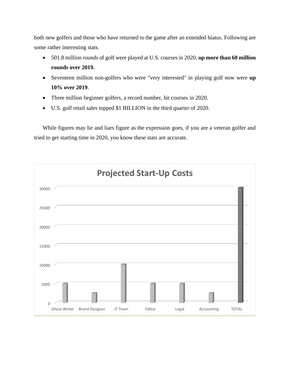both new golfers and those who have returned to the game after an extended hiatus. Following are some rather interesting stats.

- 501.8 million rounds of golf were played at U.S. courses in 2020, **up more than 60 million rounds over 2019.**
- Seventeen million non-golfers who were "very interested" in playing golf now were **up 10% over 2019**.
- Three million beginner golfers, a record number, hit courses in 2020.
- U.S. golf retail sales topped \$1 BILLION in the third quarter of 2020.

While figures may lie and liars figure as the expression goes, if you are a veteran golfer and tried to get starting time in 2020, you know these stats are accurate.